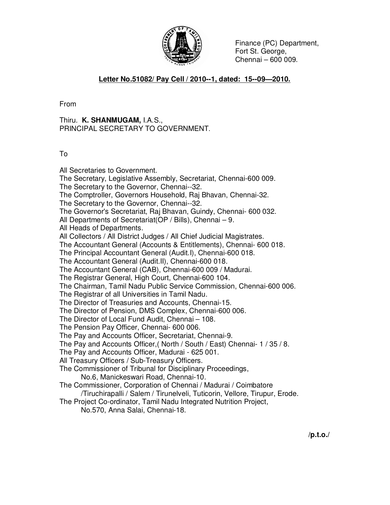

 Finance (PC) Department, Fort St. George, Chennai – 600 009.

#### **Letter No.51082/ Pay Cell / 2010--1, dated: 15--09—2010.**

From

Thiru. **K. SHANMUGAM,** I.A.S., PRINCIPAL SECRETARY TO GOVERNMENT.

To

All Secretaries to Government. The Secretary, Legislative Assembly, Secretariat, Chennai-600 009. The Secretary to the Governor, Chennai--32. The Comptroller, Governors Household, Raj Bhavan, Chennai-32. The Secretary to the Governor, Chennai--32. The Governor's Secretariat, Raj Bhavan, Guindy, Chennai- 600 032. All Departments of Secretariat(OP / Bills), Chennai – 9. All Heads of Departments. All Collectors / All District Judges / All Chief Judicial Magistrates. The Accountant General (Accounts & Entitlements), Chennai- 600 018. The Principal Accountant General (Audit.I), Chennai-600 018. The Accountant General (Audit.II), Chennai-600 018. The Accountant General (CAB), Chennai-600 009 / Madurai. The Registrar General, High Court, Chennai-600 104. The Chairman, Tamil Nadu Public Service Commission, Chennai-600 006. The Registrar of all Universities in Tamil Nadu. The Director of Treasuries and Accounts, Chennai-15. The Director of Pension, DMS Complex, Chennai-600 006. The Director of Local Fund Audit, Chennai – 108. The Pension Pay Officer, Chennai- 600 006. The Pay and Accounts Officer, Secretariat, Chennai-9. The Pay and Accounts Officer,( North / South / East) Chennai- 1 / 35 / 8. The Pay and Accounts Officer, Madurai - 625 001. All Treasury Officers / Sub-Treasury Officers. The Commissioner of Tribunal for Disciplinary Proceedings, No.6, Manickeswari Road, Chennai-10. The Commissioner, Corporation of Chennai / Madurai / Coimbatore /Tiruchirapalli / Salem / Tirunelveli, Tuticorin, Vellore, Tirupur, Erode. The Project Co-ordinator, Tamil Nadu Integrated Nutrition Project, No.570, Anna Salai, Chennai-18.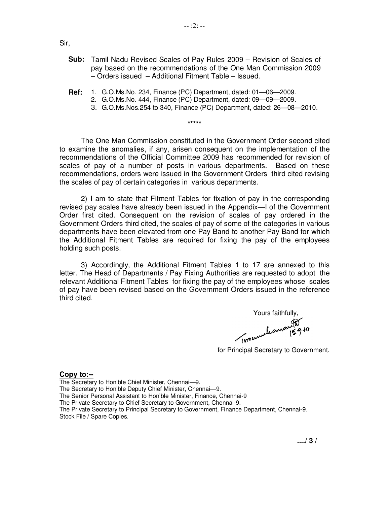Sir,

- **Sub:** Tamil Nadu Revised Scales of Pay Rules 2009 Revision of Scales of pay based on the recommendations of the One Man Commission 2009 – Orders issued – Additional Fitment Table – Issued.
- **Ref:** 1. G.O.Ms.No. 234, Finance (PC) Department, dated: 01—06—2009.
	- 2. G.O.Ms.No. 444, Finance (PC) Department, dated: 09—09—2009.

**\*\*\*\*\*** 

3. G.O.Ms.Nos.254 to 340, Finance (PC) Department, dated: 26—08—2010.

 The One Man Commission constituted in the Government Order second cited to examine the anomalies, if any, arisen consequent on the implementation of the recommendations of the Official Committee 2009 has recommended for revision of scales of pay of a number of posts in various departments. Based on these recommendations, orders were issued in the Government Orders third cited revising the scales of pay of certain categories in various departments.

 2) I am to state that Fitment Tables for fixation of pay in the corresponding revised pay scales have already been issued in the Appendix—I of the Government Order first cited. Consequent on the revision of scales of pay ordered in the Government Orders third cited, the scales of pay of some of the categories in various departments have been elevated from one Pay Band to another Pay Band for which the Additional Fitment Tables are required for fixing the pay of the employees holding such posts.

3) Accordingly, the Additional Fitment Tables 1 to 17 are annexed to this letter. The Head of Departments / Pay Fixing Authorities are requested to adopt the relevant Additional Fitment Tables for fixing the pay of the employees whose scales of pay have been revised based on the Government Orders issued in the reference third cited.

Yours faithfully,

for Principal Secretary to Government.

#### **Copy to:--**

The Secretary to Hon'ble Chief Minister, Chennai—9.

The Secretary to Hon'ble Deputy Chief Minister, Chennai—9.

The Senior Personal Assistant to Hon'ble Minister, Finance, Chennai-9

The Private Secretary to Chief Secretary to Government, Chennai-9.

The Private Secretary to Principal Secretary to Government, Finance Department, Chennai-9. Stock File / Spare Copies.

 **..../ 3 /**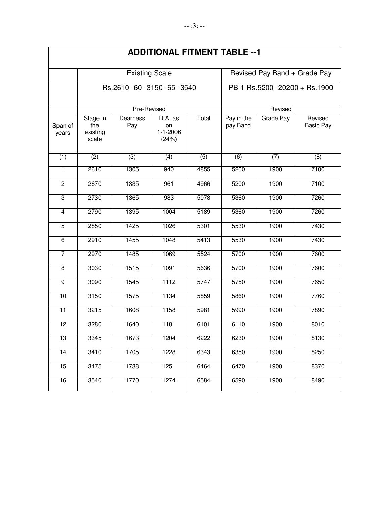|                  |                                      |                             |                                          |                  | ADDII IUNAL FII MEN I TABLE -- I |                  |                             |  |
|------------------|--------------------------------------|-----------------------------|------------------------------------------|------------------|----------------------------------|------------------|-----------------------------|--|
|                  |                                      | <b>Existing Scale</b>       |                                          |                  | Revised Pay Band + Grade Pay     |                  |                             |  |
|                  |                                      | Rs.2610--60--3150--65--3540 |                                          |                  | PB-1 Rs.5200--20200 + Rs.1900    |                  |                             |  |
|                  |                                      | Pre-Revised                 |                                          |                  |                                  | Revised          |                             |  |
| Span of<br>years | Stage in<br>the<br>existing<br>scale | Dearness<br>Pay             | D.A. as<br>on<br>$1 - 1 - 2006$<br>(24%) | Total            | Pay in the<br>pay Band           | <b>Grade Pay</b> | Revised<br><b>Basic Pay</b> |  |
| (1)              | $\overline{(2)}$                     | $\overline{(3)}$            | (4)                                      | $\overline{(5)}$ | $\overline{(6)}$                 | (7)              | (8)                         |  |
| 1                | 2610                                 | 1305                        | 940                                      | 4855             | 5200                             | 1900             | 7100                        |  |
| $\overline{2}$   | 2670                                 | 1335                        | 961                                      | 4966             | 5200                             | 1900             | 7100                        |  |
| $\overline{3}$   | 2730                                 | 1365                        | 983                                      | 5078             | 5360                             | 1900             | 7260                        |  |
| $\overline{4}$   | 2790                                 | 1395                        | 1004                                     | 5189             | 5360                             | 1900             | 7260                        |  |
| $\overline{5}$   | 2850                                 | 1425                        | 1026                                     | 5301             | 5530                             | 1900             | 7430                        |  |
| $\overline{6}$   | 2910                                 | 1455                        | 1048                                     | 5413             | 5530                             | 1900             | 7430                        |  |
| 7                | 2970                                 | 1485                        | 1069                                     | 5524             | 5700                             | 1900             | 7600                        |  |
| $\overline{8}$   | 3030                                 | 1515                        | 1091                                     | 5636             | 5700                             | 1900             | 7600                        |  |
| $\overline{9}$   | 3090                                 | 1545                        | 1112                                     | 5747             | 5750                             | 1900             | 7650                        |  |
| 10               | 3150                                 | 1575                        | 1134                                     | 5859             | 5860                             | 1900             | 7760                        |  |
| 11               | 3215                                 | 1608                        | 1158                                     | 5981             | 5990                             | 1900             | 7890                        |  |
| $\overline{12}$  | 3280                                 | 1640                        | 1181                                     | 6101             | 6110                             | 1900             | 8010                        |  |
| 13               | 3345                                 | 1673                        | 1204                                     | 6222             | 6230                             | 1900             | 8130                        |  |
| $\overline{14}$  | 3410                                 | 1705                        | 1228                                     | 6343             | 6350                             | 1900             | 8250                        |  |
| 15               | 3475                                 | 1738                        | 1251                                     | 6464             | 6470                             | 1900             | 8370                        |  |
| 16               | 3540                                 | 1770                        | 1274                                     | 6584             | 6590                             | 1900             | 8490                        |  |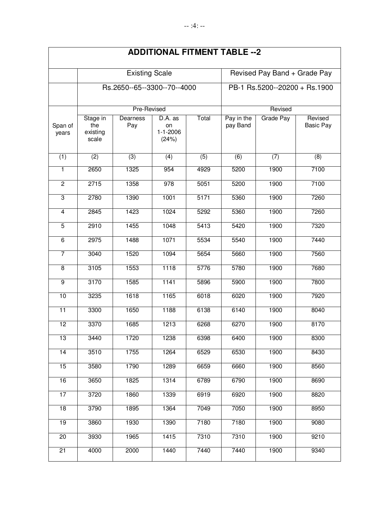|                         |                                      |                             |                                          |                  | <b>ADDITIONAL FITMENT TABLE -- 2</b> |                              |                             |  |  |
|-------------------------|--------------------------------------|-----------------------------|------------------------------------------|------------------|--------------------------------------|------------------------------|-----------------------------|--|--|
|                         |                                      | <b>Existing Scale</b>       |                                          |                  |                                      | Revised Pay Band + Grade Pay |                             |  |  |
|                         |                                      | Rs.2650--65--3300--70--4000 |                                          |                  | PB-1 Rs.5200--20200 + Rs.1900        |                              |                             |  |  |
|                         |                                      | Pre-Revised                 |                                          |                  | Revised                              |                              |                             |  |  |
| Span of<br>years        | Stage in<br>the<br>existing<br>scale | Dearness<br>Pay             | D.A. as<br>on<br>$1 - 1 - 2006$<br>(24%) | Total            | Pay in the<br>pay Band               | Grade Pay                    | Revised<br><b>Basic Pay</b> |  |  |
| (1)                     | $\overline{(2)}$                     | $\overline{3)}$             | $\overline{(4)}$                         | $\overline{(5)}$ | $\overline{(6)}$                     | (7)                          | (8)                         |  |  |
| 1                       | 2650                                 | 1325                        | 954                                      | 4929             | 5200                                 | 1900                         | 7100                        |  |  |
| $\overline{2}$          | 2715                                 | 1358                        | $\overline{978}$                         | 5051             | 5200                                 | 1900                         | 7100                        |  |  |
| $\overline{3}$          | 2780                                 | 1390                        | 1001                                     | 5171             | 5360                                 | 1900                         | 7260                        |  |  |
| $\overline{4}$          | 2845                                 | 1423                        | 1024                                     | 5292             | 5360                                 | 1900                         | 7260                        |  |  |
| $\overline{5}$          | 2910                                 | 1455                        | 1048                                     | 5413             | 5420                                 | 1900                         | 7320                        |  |  |
| $\overline{6}$          | 2975                                 | 1488                        | 1071                                     | 5534             | 5540                                 | 1900                         | 7440                        |  |  |
| $\overline{7}$          | 3040                                 | 1520                        | 1094                                     | 5654             | 5660                                 | 1900                         | 7560                        |  |  |
| $\overline{\mathbf{8}}$ | 3105                                 | 1553                        | 1118                                     | 5776             | 5780                                 | 1900                         | 7680                        |  |  |
| $\overline{9}$          | 3170                                 | 1585                        | 1141                                     | 5896             | 5900                                 | 1900                         | 7800                        |  |  |
| 10                      | 3235                                 | 1618                        | 1165                                     | 6018             | 6020                                 | 1900                         | 7920                        |  |  |
| $\overline{11}$         | 3300                                 | 1650                        | 1188                                     | 6138             | 6140                                 | 1900                         | 8040                        |  |  |
| 12                      | 3370                                 | 1685                        | 1213                                     | 6268             | 6270                                 | 1900                         | 8170                        |  |  |
| 13                      | 3440                                 | 1720                        | 1238                                     | 6398             | 6400                                 | 1900                         | 8300                        |  |  |
| $\overline{14}$         | 3510                                 | 1755                        | 1264                                     | 6529             | 6530                                 | 1900                         | 8430                        |  |  |
| 15                      | 3580                                 | 1790                        | 1289                                     | 6659             | 6660                                 | 1900                         | 8560                        |  |  |
| 16                      | 3650                                 | 1825                        | 1314                                     | 6789             | 6790                                 | 1900                         | 8690                        |  |  |
| 17                      | 3720                                 | 1860                        | 1339                                     | 6919             | 6920                                 | 1900                         | 8820                        |  |  |
| 18                      | 3790                                 | 1895                        | 1364                                     | 7049             | 7050                                 | 1900                         | 8950                        |  |  |
| 19                      | 3860                                 | 1930                        | 1390                                     | 7180             | 7180                                 | 1900                         | 9080                        |  |  |
| 20                      | 3930                                 | 1965                        | 1415                                     | 7310             | 7310                                 | 1900                         | 9210                        |  |  |
| 21                      | 4000                                 | 2000                        | 1440                                     | 7440             | 7440                                 | 1900                         | 9340                        |  |  |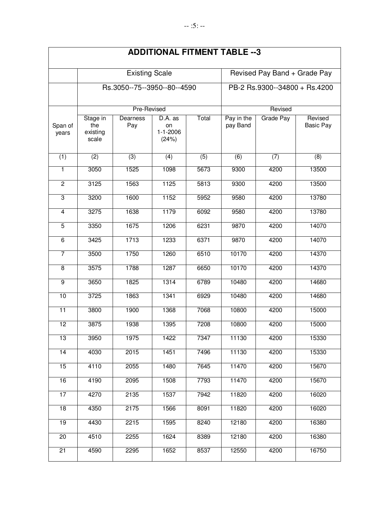|                  |                                      |                             |                                          |                               | ADDIIIONAL FIIMENI TABLE --3 |                  |                             |
|------------------|--------------------------------------|-----------------------------|------------------------------------------|-------------------------------|------------------------------|------------------|-----------------------------|
|                  |                                      | <b>Existing Scale</b>       |                                          |                               | Revised Pay Band + Grade Pay |                  |                             |
|                  |                                      | Rs.3050--75--3950--80--4590 |                                          | PB-2 Rs.9300--34800 + Rs.4200 |                              |                  |                             |
|                  |                                      | Pre-Revised                 |                                          |                               |                              | Revised          |                             |
| Span of<br>years | Stage in<br>the<br>existing<br>scale | Dearness<br>Pay             | D.A. as<br>on<br>$1 - 1 - 2006$<br>(24%) | Total                         | Pay in the<br>pay Band       | <b>Grade Pay</b> | Revised<br><b>Basic Pay</b> |
| (1)              | (2)                                  | (3)                         | $\overline{(4)}$                         | $\overline{(5)}$              | $\overline{(6)}$             | $\overline{(7)}$ | (8)                         |
| 1                | 3050                                 | 1525                        | 1098                                     | 5673                          | 9300                         | 4200             | 13500                       |
| $\overline{2}$   | 3125                                 | 1563                        | 1125                                     | 5813                          | 9300                         | 4200             | 13500                       |
| $\overline{3}$   | 3200                                 | 1600                        | 1152                                     | 5952                          | 9580                         | 4200             | 13780                       |
| $\overline{4}$   | 3275                                 | 1638                        | 1179                                     | 6092                          | 9580                         | 4200             | 13780                       |
| $\overline{5}$   | 3350                                 | 1675                        | 1206                                     | 6231                          | 9870                         | 4200             | 14070                       |
| 6                | 3425                                 | 1713                        | 1233                                     | 6371                          | 9870                         | 4200             | 14070                       |
| $\overline{7}$   | 3500                                 | 1750                        | 1260                                     | 6510                          | 10170                        | 4200             | 14370                       |
| $\overline{8}$   | 3575                                 | 1788                        | 1287                                     | 6650                          | 10170                        | 4200             | 14370                       |
| $\overline{9}$   | 3650                                 | 1825                        | 1314                                     | 6789                          | 10480                        | 4200             | 14680                       |
| 10               | 3725                                 | 1863                        | 1341                                     | 6929                          | 10480                        | 4200             | 14680                       |
| 11               | 3800                                 | 1900                        | 1368                                     | 7068                          | 10800                        | 4200             | 15000                       |
| 12               | 3875                                 | 1938                        | 1395                                     | 7208                          | 10800                        | 4200             | 15000                       |
| 13               | 3950                                 | 1975                        | 1422                                     | 7347                          | 11130                        | 4200             | 15330                       |
| 14               | 4030                                 | 2015                        | 1451                                     | 7496                          | 11130                        | 4200             | 15330                       |
| 15               | 4110                                 | 2055                        | 1480                                     | 7645                          | 11470                        | 4200             | 15670                       |
| 16               | 4190                                 | 2095                        | 1508                                     | 7793                          | 11470                        | 4200             | 15670                       |
| 17               | 4270                                 | 2135                        | 1537                                     | 7942                          | 11820                        | 4200             | 16020                       |
| $\overline{18}$  | 4350                                 | 2175                        | 1566                                     | 8091                          | 11820                        | 4200             | 16020                       |
| 19               | 4430                                 | 2215                        | 1595                                     | 8240                          | 12180                        | 4200             | 16380                       |
| $\overline{20}$  | 4510                                 | 2255                        | 1624                                     | 8389                          | 12180                        | 4200             | 16380                       |
| $\overline{21}$  | 4590                                 | 2295                        | 1652                                     | 8537                          | 12550                        | 4200             | 16750                       |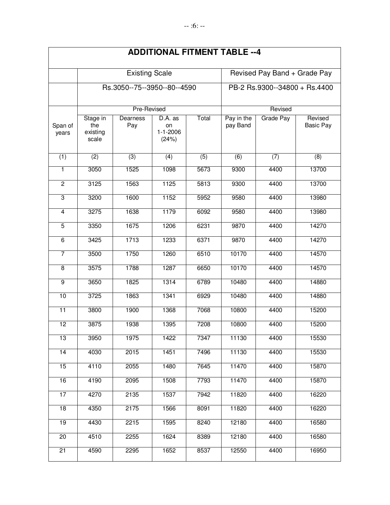|                         |                                      |                             |                                          |                  | <b>ADDITIONAL FITMENT TABLE --4</b> |           |                             |  |  |
|-------------------------|--------------------------------------|-----------------------------|------------------------------------------|------------------|-------------------------------------|-----------|-----------------------------|--|--|
|                         |                                      | <b>Existing Scale</b>       |                                          |                  | Revised Pay Band + Grade Pay        |           |                             |  |  |
|                         |                                      | Rs.3050--75--3950--80--4590 |                                          |                  | PB-2 Rs.9300--34800 + Rs.4400       |           |                             |  |  |
|                         |                                      | Pre-Revised                 |                                          |                  | Revised                             |           |                             |  |  |
| Span of<br>years        | Stage in<br>the<br>existing<br>scale | Dearness<br>Pay             | D.A. as<br>on<br>$1 - 1 - 2006$<br>(24%) | Total            | Pay in the<br>pay Band              | Grade Pay | Revised<br><b>Basic Pay</b> |  |  |
| (1)                     | $\overline{(2)}$                     | $\overline{(3)}$            | $\overline{(4)}$                         | $\overline{(5)}$ | $\overline{(6)}$                    | (7)       | (8)                         |  |  |
| 1                       | 3050                                 | 1525                        | 1098                                     | 5673             | 9300                                | 4400      | 13700                       |  |  |
| $\overline{2}$          | 3125                                 | 1563                        | 1125                                     | 5813             | 9300                                | 4400      | 13700                       |  |  |
| $\overline{3}$          | 3200                                 | 1600                        | 1152                                     | 5952             | 9580                                | 4400      | 13980                       |  |  |
| $\overline{4}$          | 3275                                 | 1638                        | 1179                                     | 6092             | 9580                                | 4400      | 13980                       |  |  |
| $\overline{5}$          | 3350                                 | 1675                        | 1206                                     | 6231             | 9870                                | 4400      | 14270                       |  |  |
| $\overline{6}$          | 3425                                 | 1713                        | 1233                                     | 6371             | 9870                                | 4400      | 14270                       |  |  |
| $\overline{7}$          | 3500                                 | 1750                        | 1260                                     | 6510             | 10170                               | 4400      | 14570                       |  |  |
| $\overline{\mathbf{8}}$ | 3575                                 | 1788                        | 1287                                     | 6650             | 10170                               | 4400      | 14570                       |  |  |
| $\overline{9}$          | 3650                                 | 1825                        | 1314                                     | 6789             | 10480                               | 4400      | 14880                       |  |  |
| 10                      | 3725                                 | 1863                        | 1341                                     | 6929             | 10480                               | 4400      | 14880                       |  |  |
| $\overline{11}$         | 3800                                 | 1900                        | 1368                                     | 7068             | 10800                               | 4400      | 15200                       |  |  |
| 12                      | 3875                                 | 1938                        | 1395                                     | 7208             | 10800                               | 4400      | 15200                       |  |  |
| 13                      | 3950                                 | 1975                        | 1422                                     | 7347             | 11130                               | 4400      | 15530                       |  |  |
| $\overline{14}$         | 4030                                 | 2015                        | 1451                                     | 7496             | 11130                               | 4400      | 15530                       |  |  |
| 15                      | 4110                                 | 2055                        | 1480                                     | 7645             | 11470                               | 4400      | 15870                       |  |  |
| 16                      | 4190                                 | 2095                        | 1508                                     | 7793             | 11470                               | 4400      | 15870                       |  |  |
| 17                      | 4270                                 | 2135                        | 1537                                     | 7942             | 11820                               | 4400      | 16220                       |  |  |
| 18                      | 4350                                 | 2175                        | 1566                                     | 8091             | 11820                               | 4400      | 16220                       |  |  |
| 19                      | 4430                                 | 2215                        | 1595                                     | 8240             | 12180                               | 4400      | 16580                       |  |  |
| 20                      | 4510                                 | 2255                        | 1624                                     | 8389             | 12180                               | 4400      | 16580                       |  |  |
| 21                      | 4590                                 | 2295                        | 1652                                     | 8537             | 12550                               | 4400      | 16950                       |  |  |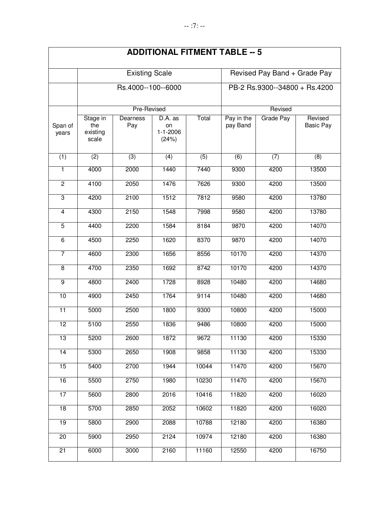|                         |                                      |                       |                                          |                  | <b>ADDITIONAL FITMENT TABLE -- 5</b> |           |                             |  |
|-------------------------|--------------------------------------|-----------------------|------------------------------------------|------------------|--------------------------------------|-----------|-----------------------------|--|
|                         |                                      | <b>Existing Scale</b> |                                          |                  | Revised Pay Band + Grade Pay         |           |                             |  |
|                         |                                      | Rs.4000--100--6000    |                                          |                  | PB-2 Rs.9300--34800 + Rs.4200        |           |                             |  |
|                         |                                      | Pre-Revised           |                                          |                  |                                      | Revised   |                             |  |
| Span of<br>years        | Stage in<br>the<br>existing<br>scale | Dearness<br>Pay       | D.A. as<br>on<br>$1 - 1 - 2006$<br>(24%) | Total            | Pay in the<br>pay Band               | Grade Pay | Revised<br><b>Basic Pay</b> |  |
| (1)                     | (2)                                  | $\overline{3)}$       | (4)                                      | $\overline{(5)}$ | (6)                                  | (7)       | (8)                         |  |
| 1                       | 4000                                 | 2000                  | 1440                                     | 7440             | 9300                                 | 4200      | 13500                       |  |
| $\overline{2}$          | 4100                                 | 2050                  | 1476                                     | 7626             | 9300                                 | 4200      | 13500                       |  |
| $\overline{3}$          | 4200                                 | 2100                  | 1512                                     | 7812             | 9580                                 | 4200      | 13780                       |  |
| $\overline{4}$          | 4300                                 | 2150                  | 1548                                     | 7998             | 9580                                 | 4200      | 13780                       |  |
| $\overline{5}$          | 4400                                 | 2200                  | 1584                                     | 8184             | 9870                                 | 4200      | 14070                       |  |
| $\overline{6}$          | 4500                                 | 2250                  | 1620                                     | 8370             | 9870                                 | 4200      | 14070                       |  |
| $\overline{7}$          | 4600                                 | 2300                  | 1656                                     | 8556             | 10170                                | 4200      | 14370                       |  |
| $\overline{\mathbf{8}}$ | 4700                                 | 2350                  | 1692                                     | 8742             | 10170                                | 4200      | 14370                       |  |
| $\overline{9}$          | 4800                                 | 2400                  | 1728                                     | 8928             | 10480                                | 4200      | 14680                       |  |
| 10                      | 4900                                 | 2450                  | 1764                                     | 9114             | 10480                                | 4200      | 14680                       |  |
| $\overline{11}$         | 5000                                 | 2500                  | 1800                                     | 9300             | 10800                                | 4200      | 15000                       |  |
| 12                      | 5100                                 | 2550                  | 1836                                     | 9486             | 10800                                | 4200      | 15000                       |  |
| 13                      | 5200                                 | 2600                  | 1872                                     | 9672             | 11130                                | 4200      | 15330                       |  |
| 14                      | 5300                                 | 2650                  | 1908                                     | 9858             | 11130                                | 4200      | 15330                       |  |
| 15                      | 5400                                 | 2700                  | 1944                                     | 10044            | 11470                                | 4200      | 15670                       |  |
| 16                      | 5500                                 | 2750                  | 1980                                     | 10230            | 11470                                | 4200      | 15670                       |  |
| 17                      | 5600                                 | 2800                  | 2016                                     | 10416            | 11820                                | 4200      | 16020                       |  |
| $\overline{18}$         | 5700                                 | 2850                  | 2052                                     | 10602            | 11820                                | 4200      | 16020                       |  |
| 19                      | 5800                                 | 2900                  | 2088                                     | 10788            | 12180                                | 4200      | 16380                       |  |
| 20                      | 5900                                 | 2950                  | 2124                                     | 10974            | 12180                                | 4200      | 16380                       |  |
| $\overline{21}$         | 6000                                 | 3000                  | 2160                                     | 11160            | 12550                                | 4200      | 16750                       |  |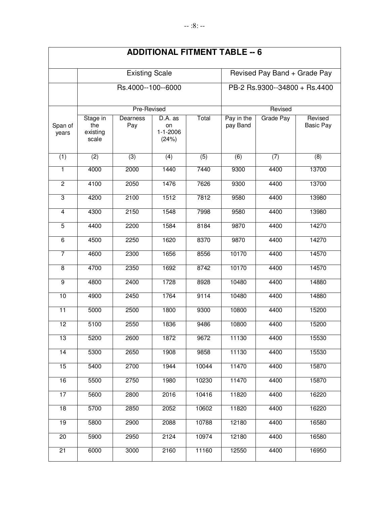|                  |                                      |                       |                                          |                  | <b>ADDITIONAL FITMENT TABLE -- 6</b> |                  |                             |  |
|------------------|--------------------------------------|-----------------------|------------------------------------------|------------------|--------------------------------------|------------------|-----------------------------|--|
|                  |                                      | <b>Existing Scale</b> |                                          |                  | Revised Pay Band + Grade Pay         |                  |                             |  |
|                  |                                      | Rs.4000--100--6000    |                                          |                  | PB-2 Rs.9300--34800 + Rs.4400        |                  |                             |  |
|                  |                                      | Pre-Revised           |                                          |                  |                                      | Revised          |                             |  |
| Span of<br>years | Stage in<br>the<br>existing<br>scale | Dearness<br>Pay       | D.A. as<br>on<br>$1 - 1 - 2006$<br>(24%) | Total            | Pay in the<br>pay Band               | <b>Grade Pay</b> | Revised<br><b>Basic Pay</b> |  |
| (1)              | (2)                                  | $\overline{(3)}$      | $\overline{(4)}$                         | $\overline{(5)}$ | $\overline{(6)}$                     | (7)              | (8)                         |  |
| $\mathbf{1}$     | 4000                                 | 2000                  | 1440                                     | 7440             | 9300                                 | 4400             | 13700                       |  |
| $\overline{2}$   | 4100                                 | 2050                  | 1476                                     | 7626             | 9300                                 | 4400             | 13700                       |  |
| $\overline{3}$   | 4200                                 | 2100                  | 1512                                     | 7812             | 9580                                 | 4400             | 13980                       |  |
| $\overline{4}$   | 4300                                 | 2150                  | 1548                                     | 7998             | 9580                                 | 4400             | 13980                       |  |
| 5                | 4400                                 | 2200                  | 1584                                     | 8184             | 9870                                 | 4400             | 14270                       |  |
| $\overline{6}$   | 4500                                 | 2250                  | 1620                                     | 8370             | 9870                                 | 4400             | 14270                       |  |
| $\overline{7}$   | 4600                                 | 2300                  | 1656                                     | 8556             | 10170                                | 4400             | 14570                       |  |
| $\overline{8}$   | 4700                                 | 2350                  | 1692                                     | 8742             | 10170                                | 4400             | 14570                       |  |
| $\overline{9}$   | 4800                                 | 2400                  | 1728                                     | 8928             | 10480                                | 4400             | 14880                       |  |
| 10               | 4900                                 | 2450                  | 1764                                     | 9114             | 10480                                | 4400             | 14880                       |  |
| $\overline{11}$  | 5000                                 | 2500                  | 1800                                     | 9300             | 10800                                | 4400             | 15200                       |  |
| 12               | 5100                                 | 2550                  | 1836                                     | 9486             | 10800                                | 4400             | 15200                       |  |
| 13               | 5200                                 | 2600                  | 1872                                     | 9672             | 11130                                | 4400             | 15530                       |  |
| 14               | 5300                                 | 2650                  | 1908                                     | 9858             | 11130                                | 4400             | 15530                       |  |
| 15               | 5400                                 | 2700                  | 1944                                     | 10044            | 11470                                | 4400             | 15870                       |  |
| 16               | 5500                                 | 2750                  | 1980                                     | 10230            | 11470                                | 4400             | 15870                       |  |
| 17               | 5600                                 | 2800                  | 2016                                     | 10416            | 11820                                | 4400             | 16220                       |  |
| $\overline{18}$  | 5700                                 | 2850                  | 2052                                     | 10602            | 11820                                | 4400             | 16220                       |  |
| 19               | 5800                                 | 2900                  | 2088                                     | 10788            | 12180                                | 4400             | 16580                       |  |
| 20               | 5900                                 | 2950                  | 2124                                     | 10974            | 12180                                | 4400             | 16580                       |  |
| 21               | 6000                                 | 3000                  | 2160                                     | 11160            | 12550                                | 4400             | 16950                       |  |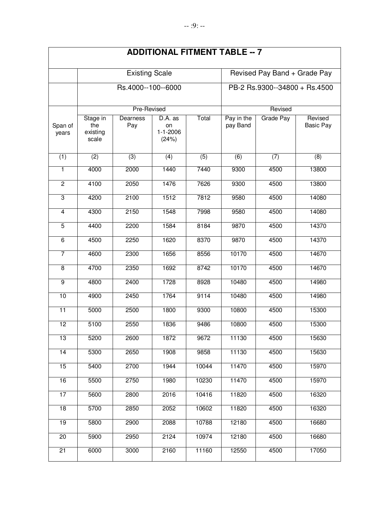|                  |                                      |                       |                                          |                  | <b>ADDITIONAL FITMENT TABLE -- 7</b> |                  |                             |  |
|------------------|--------------------------------------|-----------------------|------------------------------------------|------------------|--------------------------------------|------------------|-----------------------------|--|
|                  |                                      | <b>Existing Scale</b> |                                          |                  | Revised Pay Band + Grade Pay         |                  |                             |  |
|                  |                                      | Rs.4000--100--6000    |                                          |                  | PB-2 Rs.9300--34800 + Rs.4500        |                  |                             |  |
|                  |                                      | Pre-Revised           |                                          |                  |                                      | Revised          |                             |  |
| Span of<br>years | Stage in<br>the<br>existing<br>scale | Dearness<br>Pay       | D.A. as<br>on<br>$1 - 1 - 2006$<br>(24%) | Total            | Pay in the<br>pay Band               | <b>Grade Pay</b> | Revised<br><b>Basic Pay</b> |  |
| (1)              | (2)                                  | $\overline{(3)}$      | $\overline{(4)}$                         | $\overline{(5)}$ | $\overline{(6)}$                     | (7)              | (8)                         |  |
| $\mathbf{1}$     | 4000                                 | 2000                  | 1440                                     | 7440             | 9300                                 | 4500             | 13800                       |  |
| $\overline{2}$   | 4100                                 | 2050                  | 1476                                     | 7626             | 9300                                 | 4500             | 13800                       |  |
| $\overline{3}$   | 4200                                 | 2100                  | 1512                                     | 7812             | 9580                                 | 4500             | 14080                       |  |
| $\overline{4}$   | 4300                                 | 2150                  | 1548                                     | 7998             | 9580                                 | 4500             | 14080                       |  |
| 5                | 4400                                 | 2200                  | 1584                                     | 8184             | 9870                                 | 4500             | 14370                       |  |
| $\overline{6}$   | 4500                                 | 2250                  | 1620                                     | 8370             | 9870                                 | 4500             | 14370                       |  |
| $\overline{7}$   | 4600                                 | 2300                  | 1656                                     | 8556             | 10170                                | 4500             | 14670                       |  |
| $\overline{8}$   | 4700                                 | 2350                  | 1692                                     | 8742             | 10170                                | 4500             | 14670                       |  |
| $\overline{9}$   | 4800                                 | 2400                  | 1728                                     | 8928             | 10480                                | 4500             | 14980                       |  |
| 10               | 4900                                 | 2450                  | 1764                                     | 9114             | 10480                                | 4500             | 14980                       |  |
| $\overline{11}$  | 5000                                 | 2500                  | 1800                                     | 9300             | 10800                                | 4500             | 15300                       |  |
| 12               | 5100                                 | 2550                  | 1836                                     | 9486             | 10800                                | 4500             | 15300                       |  |
| 13               | 5200                                 | 2600                  | 1872                                     | 9672             | 11130                                | 4500             | 15630                       |  |
| 14               | 5300                                 | 2650                  | 1908                                     | 9858             | 11130                                | 4500             | 15630                       |  |
| 15               | 5400                                 | 2700                  | 1944                                     | 10044            | 11470                                | 4500             | 15970                       |  |
| 16               | 5500                                 | 2750                  | 1980                                     | 10230            | 11470                                | 4500             | 15970                       |  |
| 17               | 5600                                 | 2800                  | 2016                                     | 10416            | 11820                                | 4500             | 16320                       |  |
| $\overline{18}$  | 5700                                 | 2850                  | 2052                                     | 10602            | 11820                                | 4500             | 16320                       |  |
| 19               | 5800                                 | 2900                  | 2088                                     | 10788            | 12180                                | 4500             | 16680                       |  |
| 20               | 5900                                 | 2950                  | 2124                                     | 10974            | 12180                                | 4500             | 16680                       |  |
| 21               | 6000                                 | 3000                  | 2160                                     | 11160            | 12550                                | 4500             | 17050                       |  |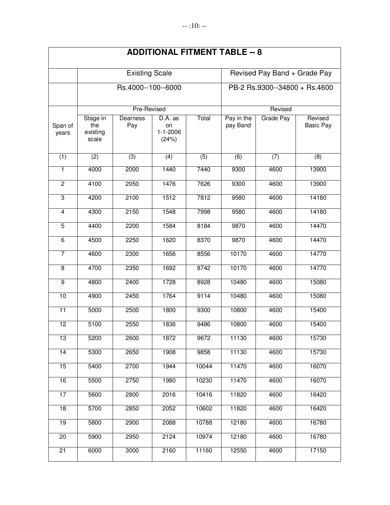|                  |                                      |                       |                                          |                               | <b>ADDITIONAL FITMENT TABLE -- 8</b> |                  |                             |  |
|------------------|--------------------------------------|-----------------------|------------------------------------------|-------------------------------|--------------------------------------|------------------|-----------------------------|--|
|                  |                                      | <b>Existing Scale</b> |                                          |                               | Revised Pay Band + Grade Pay         |                  |                             |  |
|                  |                                      | Rs.4000--100--6000    |                                          | PB-2 Rs.9300--34800 + Rs.4600 |                                      |                  |                             |  |
|                  |                                      | Pre-Revised           |                                          |                               |                                      |                  |                             |  |
| Span of<br>years | Stage in<br>the<br>existing<br>scale | Dearness<br>Pay       | D.A. as<br>on<br>$1 - 1 - 2006$<br>(24%) | Total                         | Pay in the<br>pay Band               | <b>Grade Pay</b> | Revised<br><b>Basic Pay</b> |  |
| (1)              | $\overline{(2)}$                     | $\overline{3)}$       | (4)                                      | $\overline{(5)}$              | $\overline{(6)}$                     | (7)              | (8)                         |  |
| 1                | 4000                                 | 2000                  | 1440                                     | 7440                          | 9300                                 | 4600             | 13900                       |  |
| $\overline{2}$   | 4100                                 | 2050                  | 1476                                     | 7626                          | 9300                                 | 4600             | 13900                       |  |
| $\overline{3}$   | 4200                                 | 2100                  | 1512                                     | 7812                          | 9580                                 | 4600             | 14180                       |  |
| $\overline{4}$   | 4300                                 | 2150                  | 1548                                     | 7998                          | 9580                                 | 4600             | 14180                       |  |
| $\overline{5}$   | 4400                                 | 2200                  | 1584                                     | 8184                          | 9870                                 | 4600             | 14470                       |  |
| $\overline{6}$   | 4500                                 | 2250                  | 1620                                     | 8370                          | 9870                                 | 4600             | 14470                       |  |
| $\overline{7}$   | 4600                                 | 2300                  | 1656                                     | 8556                          | 10170                                | 4600             | 14770                       |  |
| $\overline{8}$   | 4700                                 | 2350                  | 1692                                     | 8742                          | 10170                                | 4600             | 14770                       |  |
| g                | 4800                                 | 2400                  | 1728                                     | 8928                          | 10480                                | 4600             | 15080                       |  |
| 10               | 4900                                 | 2450                  | 1764                                     | 9114                          | 10480                                | 4600             | 15080                       |  |
| 11               | 5000                                 | 2500                  | 1800                                     | 9300                          | 10800                                | 4600             | 15400                       |  |
| $\overline{12}$  | 5100                                 | 2550                  | 1836                                     | 9486                          | 10800                                | 4600             | 15400                       |  |
| 13               | 5200                                 | 2600                  | 1872                                     | 9672                          | 11130                                | 4600             | 15730                       |  |
| 14               | 5300                                 | 2650                  | 1908                                     | 9858                          | 11130                                | 4600             | 15730                       |  |
| 15               | 5400                                 | 2700                  | 1944                                     | 10044                         | 11470                                | 4600             | 16070                       |  |
| 16               | 5500                                 | 2750                  | 1980                                     | 10230                         | 11470                                | 4600             | 16070                       |  |
| 17               | 5600                                 | 2800                  | 2016                                     | 10416                         | 11820                                | 4600             | 16420                       |  |
| $\overline{18}$  | 5700                                 | 2850                  | 2052                                     | 10602                         | 11820                                | 4600             | 16420                       |  |
| $\overline{19}$  | 5800                                 | 2900                  | 2088                                     | 10788                         | 12180                                | 4600             | 16780                       |  |
| 20               | 5900                                 | 2950                  | 2124                                     | 10974                         | 12180                                | 4600             | 16780                       |  |
| 21               | 6000                                 | 3000                  | 2160                                     | 11160                         | 12550                                | 4600             | 17150                       |  |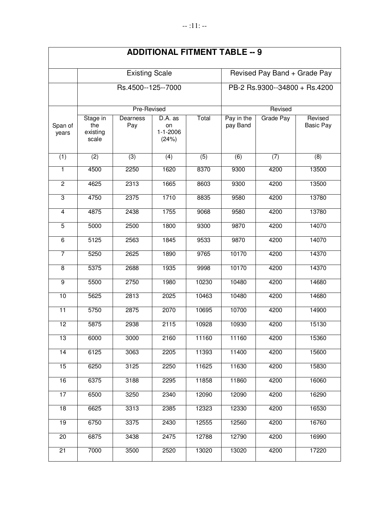|                  |                                      |                       |                                          |                               | <b>ADDITIONAL FITMENT TABLE -- 9</b> |                  |                             |  |
|------------------|--------------------------------------|-----------------------|------------------------------------------|-------------------------------|--------------------------------------|------------------|-----------------------------|--|
|                  |                                      | <b>Existing Scale</b> |                                          |                               | Revised Pay Band + Grade Pay         |                  |                             |  |
|                  |                                      | Rs.4500--125--7000    |                                          | PB-2 Rs.9300--34800 + Rs.4200 |                                      |                  |                             |  |
|                  |                                      | Pre-Revised           |                                          |                               |                                      | Revised          |                             |  |
| Span of<br>years | Stage in<br>the<br>existing<br>scale | Dearness<br>Pay       | D.A. as<br>on<br>$1 - 1 - 2006$<br>(24%) | Total                         | Pay in the<br>pay Band               | <b>Grade Pay</b> | Revised<br><b>Basic Pay</b> |  |
| (1)              | $\overline{(2)}$                     | $\overline{3)}$       | (4)                                      | $\overline{(5)}$              | $\overline{(6)}$                     | (7)              | (8)                         |  |
| 1                | 4500                                 | 2250                  | 1620                                     | 8370                          | 9300                                 | 4200             | 13500                       |  |
| $\overline{2}$   | 4625                                 | 2313                  | 1665                                     | 8603                          | 9300                                 | 4200             | 13500                       |  |
| $\overline{3}$   | 4750                                 | 2375                  | 1710                                     | 8835                          | 9580                                 | 4200             | 13780                       |  |
| $\overline{4}$   | 4875                                 | 2438                  | 1755                                     | 9068                          | 9580                                 | 4200             | 13780                       |  |
| $\overline{5}$   | 5000                                 | 2500                  | 1800                                     | 9300                          | 9870                                 | 4200             | 14070                       |  |
| $\overline{6}$   | 5125                                 | 2563                  | 1845                                     | 9533                          | 9870                                 | 4200             | 14070                       |  |
| $\overline{7}$   | 5250                                 | 2625                  | 1890                                     | 9765                          | 10170                                | 4200             | 14370                       |  |
| $\overline{8}$   | 5375                                 | 2688                  | 1935                                     | 9998                          | 10170                                | 4200             | 14370                       |  |
| 9                | 5500                                 | 2750                  | 1980                                     | 10230                         | 10480                                | 4200             | 14680                       |  |
| 10               | 5625                                 | 2813                  | 2025                                     | 10463                         | 10480                                | 4200             | 14680                       |  |
| 11               | 5750                                 | 2875                  | 2070                                     | 10695                         | 10700                                | 4200             | 14900                       |  |
| $\overline{12}$  | 5875                                 | 2938                  | 2115                                     | 10928                         | 10930                                | 4200             | 15130                       |  |
| 13               | 6000                                 | 3000                  | 2160                                     | 11160                         | 11160                                | 4200             | 15360                       |  |
| 14               | 6125                                 | 3063                  | 2205                                     | 11393                         | 11400                                | 4200             | 15600                       |  |
| 15               | 6250                                 | 3125                  | 2250                                     | 11625                         | 11630                                | 4200             | 15830                       |  |
| 16               | 6375                                 | 3188                  | 2295                                     | 11858                         | 11860                                | 4200             | 16060                       |  |
| 17               | 6500                                 | 3250                  | 2340                                     | 12090                         | 12090                                | 4200             | 16290                       |  |
| $\overline{18}$  | 6625                                 | 3313                  | 2385                                     | 12323                         | 12330                                | 4200             | 16530                       |  |
| $\overline{19}$  | 6750                                 | 3375                  | 2430                                     | 12555                         | 12560                                | 4200             | 16760                       |  |
| 20               | 6875                                 | 3438                  | 2475                                     | 12788                         | 12790                                | 4200             | 16990                       |  |
| 21               | 7000                                 | 3500                  | 2520                                     | 13020                         | 13020                                | 4200             | 17220                       |  |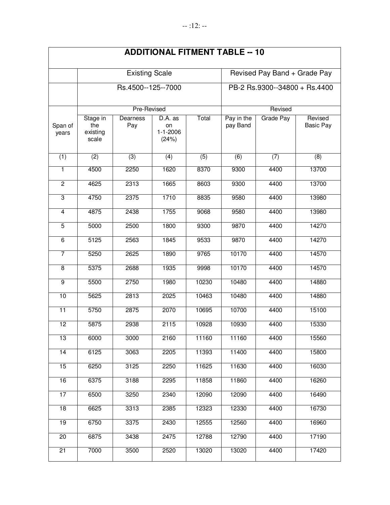|                  |                                      |                       |                                          |                               | <b>ADDITIONAL FITMENT TABLE -- 10</b> |                  |                             |  |
|------------------|--------------------------------------|-----------------------|------------------------------------------|-------------------------------|---------------------------------------|------------------|-----------------------------|--|
|                  |                                      | <b>Existing Scale</b> |                                          |                               | Revised Pay Band + Grade Pay          |                  |                             |  |
|                  |                                      | Rs.4500--125--7000    |                                          | PB-2 Rs.9300--34800 + Rs.4400 |                                       |                  |                             |  |
|                  |                                      | Pre-Revised           |                                          |                               |                                       | Revised          |                             |  |
| Span of<br>years | Stage in<br>the<br>existing<br>scale | Dearness<br>Pay       | D.A. as<br>on<br>$1 - 1 - 2006$<br>(24%) | Total                         | Pay in the<br>pay Band                | <b>Grade Pay</b> | Revised<br><b>Basic Pay</b> |  |
| (1)              | (2)                                  | $\overline{(3)}$      | $\overline{(4)}$                         | $\overline{(5)}$              | $\overline{(6)}$                      | (7)              | (8)                         |  |
| $\overline{1}$   | 4500                                 | 2250                  | 1620                                     | 8370                          | 9300                                  | 4400             | 13700                       |  |
| $\overline{2}$   | 4625                                 | 2313                  | 1665                                     | 8603                          | 9300                                  | 4400             | 13700                       |  |
| $\overline{3}$   | 4750                                 | 2375                  | 1710                                     | 8835                          | 9580                                  | 4400             | 13980                       |  |
| $\overline{4}$   | 4875                                 | 2438                  | 1755                                     | 9068                          | 9580                                  | 4400             | 13980                       |  |
| $\overline{5}$   | 5000                                 | 2500                  | 1800                                     | 9300                          | 9870                                  | 4400             | 14270                       |  |
| $\overline{6}$   | 5125                                 | 2563                  | 1845                                     | 9533                          | 9870                                  | 4400             | 14270                       |  |
| $\overline{7}$   | 5250                                 | 2625                  | 1890                                     | 9765                          | 10170                                 | 4400             | 14570                       |  |
| $\overline{8}$   | 5375                                 | 2688                  | 1935                                     | 9998                          | 10170                                 | 4400             | 14570                       |  |
| $\overline{9}$   | 5500                                 | 2750                  | 1980                                     | 10230                         | 10480                                 | 4400             | 14880                       |  |
| 10               | 5625                                 | 2813                  | 2025                                     | 10463                         | 10480                                 | 4400             | 14880                       |  |
| 11               | 5750                                 | 2875                  | 2070                                     | 10695                         | 10700                                 | 4400             | 15100                       |  |
| $\overline{12}$  | 5875                                 | 2938                  | 2115                                     | 10928                         | 10930                                 | 4400             | 15330                       |  |
| 13               | 6000                                 | 3000                  | 2160                                     | 11160                         | 11160                                 | 4400             | 15560                       |  |
| 14               | 6125                                 | 3063                  | 2205                                     | 11393                         | 11400                                 | 4400             | 15800                       |  |
| 15               | 6250                                 | 3125                  | 2250                                     | 11625                         | 11630                                 | 4400             | 16030                       |  |
| 16               | 6375                                 | 3188                  | 2295                                     | 11858                         | 11860                                 | 4400             | 16260                       |  |
| 17               | 6500                                 | 3250                  | 2340                                     | 12090                         | 12090                                 | 4400             | 16490                       |  |
| $\overline{18}$  | 6625                                 | 3313                  | 2385                                     | 12323                         | 12330                                 | 4400             | 16730                       |  |
| $\overline{19}$  | 6750                                 | 3375                  | 2430                                     | 12555                         | 12560                                 | 4400             | 16960                       |  |
| 20               | 6875                                 | 3438                  | 2475                                     | 12788                         | 12790                                 | 4400             | 17190                       |  |
| 21               | 7000                                 | 3500                  | 2520                                     | 13020                         | 13020                                 | 4400             | 17420                       |  |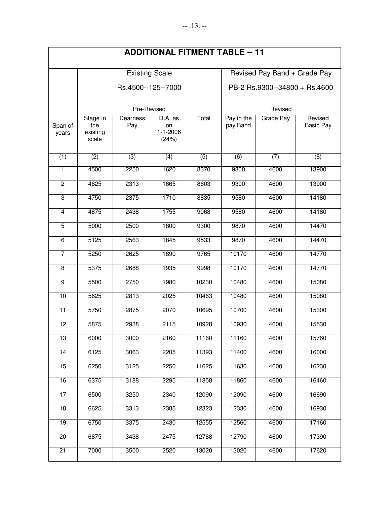|                  |                                      |                       |                                          |                               | <b>ADDITIONAL FITMENT TABLE -- 11</b> |                  |                             |  |
|------------------|--------------------------------------|-----------------------|------------------------------------------|-------------------------------|---------------------------------------|------------------|-----------------------------|--|
|                  |                                      | <b>Existing Scale</b> |                                          |                               | Revised Pay Band + Grade Pay          |                  |                             |  |
|                  |                                      | Rs.4500--125--7000    |                                          | PB-2 Rs.9300--34800 + Rs.4600 |                                       |                  |                             |  |
|                  |                                      | Pre-Revised           |                                          |                               |                                       |                  |                             |  |
| Span of<br>years | Stage in<br>the<br>existing<br>scale | Dearness<br>Pay       | D.A. as<br>on<br>$1 - 1 - 2006$<br>(24%) | Total                         | Pay in the<br>pay Band                | <b>Grade Pay</b> | Revised<br><b>Basic Pay</b> |  |
| (1)              | (2)                                  | $\overline{(3)}$      | $\overline{(4)}$                         | $\overline{(5)}$              | $\overline{(6)}$                      | (7)              | (8)                         |  |
| $\overline{1}$   | 4500                                 | 2250                  | 1620                                     | 8370                          | 9300                                  | 4600             | 13900                       |  |
| $\overline{2}$   | 4625                                 | 2313                  | 1665                                     | 8603                          | 9300                                  | 4600             | 13900                       |  |
| $\overline{3}$   | 4750                                 | 2375                  | 1710                                     | 8835                          | 9580                                  | 4600             | 14180                       |  |
| $\overline{4}$   | 4875                                 | 2438                  | 1755                                     | 9068                          | 9580                                  | 4600             | 14180                       |  |
| $\overline{5}$   | 5000                                 | 2500                  | 1800                                     | 9300                          | 9870                                  | 4600             | 14470                       |  |
| $\overline{6}$   | 5125                                 | 2563                  | 1845                                     | 9533                          | 9870                                  | 4600             | 14470                       |  |
| $\overline{7}$   | 5250                                 | 2625                  | 1890                                     | 9765                          | 10170                                 | 4600             | 14770                       |  |
| $\overline{8}$   | 5375                                 | 2688                  | 1935                                     | 9998                          | 10170                                 | 4600             | 14770                       |  |
| $\overline{9}$   | 5500                                 | 2750                  | 1980                                     | 10230                         | 10480                                 | 4600             | 15080                       |  |
| 10               | 5625                                 | 2813                  | 2025                                     | 10463                         | 10480                                 | 4600             | 15080                       |  |
| 11               | 5750                                 | 2875                  | 2070                                     | 10695                         | 10700                                 | 4600             | 15300                       |  |
| $\overline{12}$  | 5875                                 | 2938                  | 2115                                     | 10928                         | 10930                                 | 4600             | 15530                       |  |
| 13               | 6000                                 | 3000                  | 2160                                     | 11160                         | 11160                                 | 4600             | 15760                       |  |
| 14               | 6125                                 | 3063                  | 2205                                     | 11393                         | 11400                                 | 4600             | 16000                       |  |
| 15               | 6250                                 | 3125                  | 2250                                     | 11625                         | 11630                                 | 4600             | 16230                       |  |
| 16               | 6375                                 | 3188                  | 2295                                     | 11858                         | 11860                                 | 4600             | 16460                       |  |
| 17               | 6500                                 | 3250                  | 2340                                     | 12090                         | 12090                                 | 4600             | 16690                       |  |
| $\overline{18}$  | 6625                                 | 3313                  | 2385                                     | 12323                         | 12330                                 | 4600             | 16930                       |  |
| 19               | 6750                                 | 3375                  | 2430                                     | 12555                         | 12560                                 | 4600             | 17160                       |  |
| 20               | 6875                                 | 3438                  | 2475                                     | 12788                         | 12790                                 | 4600             | 17390                       |  |
| 21               | 7000                                 | 3500                  | 2520                                     | 13020                         | 13020                                 | 4600             | 17620                       |  |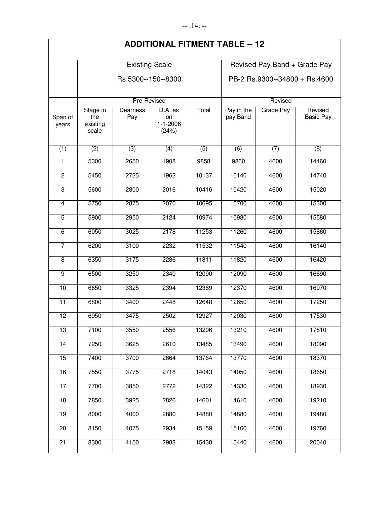|                  |                                      | <b>Existing Scale</b>  |                                                        |                               | Revised Pay Band + Grade Pay |           |                             |  |
|------------------|--------------------------------------|------------------------|--------------------------------------------------------|-------------------------------|------------------------------|-----------|-----------------------------|--|
|                  |                                      | Rs.5300--150--8300     |                                                        | PB-2 Rs.9300--34800 + Rs.4600 |                              |           |                             |  |
|                  |                                      | Pre-Revised            |                                                        |                               |                              | Revised   |                             |  |
| Span of<br>years | Stage in<br>the<br>existing<br>scale | <b>Dearness</b><br>Pay | $\overline{D.A}$ . as<br>on<br>$1 - 1 - 2006$<br>(24%) | Total                         | Pay in the<br>pay Band       | Grade Pay | Revised<br><b>Basic Pay</b> |  |
| (1)              | (2)                                  | $\overline{3)}$        | (4)                                                    | (5)                           | $\overline{(6)}$             | (7)       | (8)                         |  |
| 1                | 5300                                 | 2650                   | 1908                                                   | 9858                          | 9860                         | 4600      | 14460                       |  |
| $\overline{2}$   | 5450                                 | 2725                   | 1962                                                   | 10137                         | 10140                        | 4600      | 14740                       |  |
| $\overline{3}$   | 5600                                 | 2800                   | 2016                                                   | 10416                         | 10420                        | 4600      | 15020                       |  |
| $\overline{4}$   | 5750                                 | 2875                   | 2070                                                   | 10695                         | 10700                        | 4600      | 15300                       |  |
| $\overline{5}$   | 5900                                 | 2950                   | 2124                                                   | 10974                         | 10980                        | 4600      | 15580                       |  |
| $\overline{6}$   | 6050                                 | 3025                   | 2178                                                   | 11253                         | 11260                        | 4600      | 15860                       |  |
| $\overline{7}$   | 6200                                 | 3100                   | 2232                                                   | 11532                         | 11540                        | 4600      | 16140                       |  |
| 8                | 6350                                 | 3175                   | 2286                                                   | 11811                         | 11820                        | 4600      | 16420                       |  |
| $\overline{9}$   | 6500                                 | 3250                   | 2340                                                   | 12090                         | 12090                        | 4600      | 16690                       |  |
| 10               | 6650                                 | 3325                   | 2394                                                   | 12369                         | 12370                        | 4600      | 16970                       |  |
| $\overline{11}$  | 6800                                 | 3400                   | 2448                                                   | 12648                         | 12650                        | 4600      | 17250                       |  |
| 12               | 6950                                 | 3475                   | 2502                                                   | 12927                         | 12930                        | 4600      | 17530                       |  |
| $\overline{13}$  | 7100                                 | 3550                   | 2556                                                   | 13206                         | 13210                        | 4600      | 17810                       |  |
| 14               | 7250                                 | 3625                   | 2610                                                   | 13485                         | 13490                        | 4600      | 18090                       |  |
| 15               | 7400                                 | 3700                   | 2664                                                   | 13764                         | 13770                        | 4600      | 18370                       |  |
| 16               | 7550                                 | 3775                   | 2718                                                   | 14043                         | 14050                        | 4600      | 18650                       |  |
| 17               | 7700                                 | 3850                   | 2772                                                   | 14322                         | 14330                        | 4600      | 18930                       |  |
| $\overline{18}$  | 7850                                 | 3925                   | 2826                                                   | 14601                         | 14610                        | 4600      | 19210                       |  |
| 19               | 8000                                 | 4000                   | 2880                                                   | 14880                         | 14880                        | 4600      | 19480                       |  |
| 20               | 8150                                 | 4075                   | 2934                                                   | 15159                         | 15160                        | 4600      | 19760                       |  |
| 21               | 8300                                 | 4150                   | 2988                                                   | 15438                         | 15440                        | 4600      | 20040                       |  |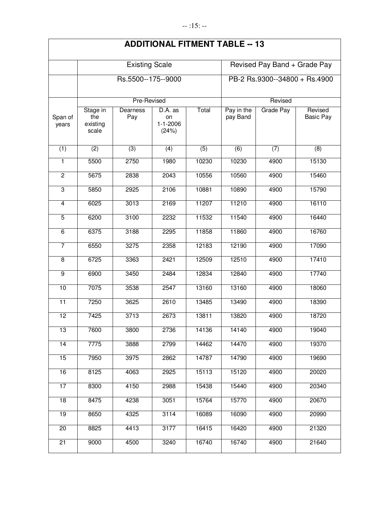|                  | <b>Existing Scale</b>                |                    |                                          |                               | Revised Pay Band + Grade Pay |           |                             |  |
|------------------|--------------------------------------|--------------------|------------------------------------------|-------------------------------|------------------------------|-----------|-----------------------------|--|
|                  |                                      | Rs.5500--175--9000 |                                          | PB-2 Rs.9300--34800 + Rs.4900 |                              |           |                             |  |
|                  | Pre-Revised                          |                    |                                          |                               | Revised                      |           |                             |  |
| Span of<br>years | Stage in<br>the<br>existing<br>scale | Dearness<br>Pay    | D.A. as<br>on<br>$1 - 1 - 2006$<br>(24%) | Total                         | Pay in the<br>pay Band       | Grade Pay | Revised<br><b>Basic Pay</b> |  |
| (1)              | (2)                                  | $\overline{(3)}$   | $\overline{(4)}$                         | (5)                           | $\overline{(6)}$             | (7)       | (8)                         |  |
| 1                | 5500                                 | 2750               | 1980                                     | 10230                         | 10230                        | 4900      | 15130                       |  |
| $\overline{2}$   | 5675                                 | 2838               | 2043                                     | 10556                         | 10560                        | 4900      | 15460                       |  |
| $\overline{3}$   | 5850                                 | 2925               | 2106                                     | 10881                         | 10890                        | 4900      | 15790                       |  |
| 4                | 6025                                 | 3013               | 2169                                     | 11207                         | 11210                        | 4900      | 16110                       |  |
| $\overline{5}$   | 6200                                 | 3100               | 2232                                     | 11532                         | 11540                        | 4900      | 16440                       |  |
| $\overline{6}$   | 6375                                 | 3188               | 2295                                     | 11858                         | 11860                        | 4900      | 16760                       |  |
| $\overline{7}$   | 6550                                 | 3275               | 2358                                     | 12183                         | 12190                        | 4900      | 17090                       |  |
| $\overline{8}$   | 6725                                 | 3363               | 2421                                     | 12509                         | 12510                        | 4900      | 17410                       |  |
| $\overline{9}$   | 6900                                 | 3450               | 2484                                     | 12834                         | 12840                        | 4900      | 17740                       |  |
| 10               | 7075                                 | 3538               | 2547                                     | 13160                         | 13160                        | 4900      | 18060                       |  |
| $\overline{11}$  | 7250                                 | 3625               | 2610                                     | 13485                         | 13490                        | 4900      | 18390                       |  |
| $\overline{12}$  | 7425                                 | 3713               | 2673                                     | 13811                         | 13820                        | 4900      | 18720                       |  |
| 13               | 7600                                 | 3800               | 2736                                     | 14136                         | 14140                        | 4900      | 19040                       |  |
| 14               | 7775                                 | 3888               | 2799                                     | 14462                         | 14470                        | 4900      | 19370                       |  |
| 15               | 7950                                 | 3975               | 2862                                     | 14787                         | 14790                        | 4900      | 19690                       |  |
| 16               | 8125                                 | 4063               | 2925                                     | 15113                         | 15120                        | 4900      | 20020                       |  |
| 17               | 8300                                 | 4150               | 2988                                     | 15438                         | 15440                        | 4900      | 20340                       |  |
| 18               | 8475                                 | 4238               | 3051                                     | 15764                         | 15770                        | 4900      | 20670                       |  |
| 19               | 8650                                 | 4325               | 3114                                     | 16089                         | 16090                        | 4900      | 20990                       |  |
| $\overline{20}$  | 8825                                 | 4413               | 3177                                     | 16415                         | 16420                        | 4900      | 21320                       |  |
| $\overline{21}$  | 9000                                 | 4500               | 3240                                     | 16740                         | 16740                        | 4900      | 21640                       |  |
|                  |                                      |                    |                                          |                               |                              |           |                             |  |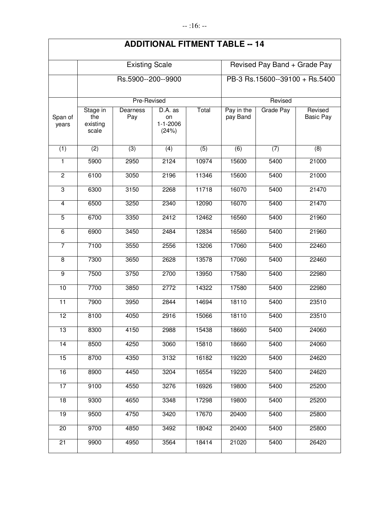|                  | <b>Existing Scale</b>                |                 |                                          |                  | Revised Pay Band + Grade Pay   |           |                             |  |
|------------------|--------------------------------------|-----------------|------------------------------------------|------------------|--------------------------------|-----------|-----------------------------|--|
|                  | Rs.5900--200--9900                   |                 |                                          |                  | PB-3 Rs.15600--39100 + Rs.5400 |           |                             |  |
|                  | Pre-Revised                          |                 |                                          |                  | Revised                        |           |                             |  |
| Span of<br>years | Stage in<br>the<br>existing<br>scale | Dearness<br>Pay | D.A. as<br>on<br>$1 - 1 - 2006$<br>(24%) | Total            | Pay in the<br>pay Band         | Grade Pay | Revised<br><b>Basic Pay</b> |  |
| (1)              | (2)                                  | $\overline{3)}$ | (4)                                      | $\overline{(5)}$ | $\overline{(6)}$               | (7)       | (8)                         |  |
| $\mathbf{1}$     | 5900                                 | 2950            | 2124                                     | 10974            | 15600                          | 5400      | 21000                       |  |
| $\overline{2}$   | 6100                                 | 3050            | 2196                                     | 11346            | 15600                          | 5400      | 21000                       |  |
| $\overline{3}$   | 6300                                 | 3150            | 2268                                     | 11718            | 16070                          | 5400      | 21470                       |  |
| $\overline{4}$   | 6500                                 | 3250            | 2340                                     | 12090            | 16070                          | 5400      | 21470                       |  |
| $\overline{5}$   | 6700                                 | 3350            | 2412                                     | 12462            | 16560                          | 5400      | 21960                       |  |
| $\overline{6}$   | 6900                                 | 3450            | 2484                                     | 12834            | 16560                          | 5400      | 21960                       |  |
| $\overline{7}$   | 7100                                 | 3550            | 2556                                     | 13206            | 17060                          | 5400      | 22460                       |  |
| 8                | 7300                                 | 3650            | 2628                                     | 13578            | 17060                          | 5400      | 22460                       |  |
| $\overline{9}$   | 7500                                 | 3750            | 2700                                     | 13950            | 17580                          | 5400      | 22980                       |  |
| 10               | 7700                                 | 3850            | 2772                                     | 14322            | 17580                          | 5400      | 22980                       |  |
| $\overline{11}$  | 7900                                 | 3950            | 2844                                     | 14694            | 18110                          | 5400      | 23510                       |  |
| 12               | 8100                                 | 4050            | 2916                                     | 15066            | 18110                          | 5400      | 23510                       |  |
| $\overline{13}$  | 8300                                 | 4150            | 2988                                     | 15438            | 18660                          | 5400      | 24060                       |  |
| 14               | 8500                                 | 4250            | 3060                                     | 15810            | 18660                          | 5400      | 24060                       |  |
| 15               | 8700                                 | 4350            | 3132                                     | 16182            | 19220                          | 5400      | 24620                       |  |
| 16               | 8900                                 | 4450            | 3204                                     | 16554            | 19220                          | 5400      | 24620                       |  |
| 17               | 9100                                 | 4550            | 3276                                     | 16926            | 19800                          | 5400      | 25200                       |  |
| $\overline{18}$  | 9300                                 | 4650            | 3348                                     | 17298            | 19800                          | 5400      | 25200                       |  |
| 19               | 9500                                 | 4750            | 3420                                     | 17670            | 20400                          | 5400      | 25800                       |  |
| 20               | 9700                                 | 4850            | 3492                                     | 18042            | 20400                          | 5400      | 25800                       |  |
| 21               | 9900                                 | 4950            | 3564                                     | 18414            | 21020                          | 5400      | 26420                       |  |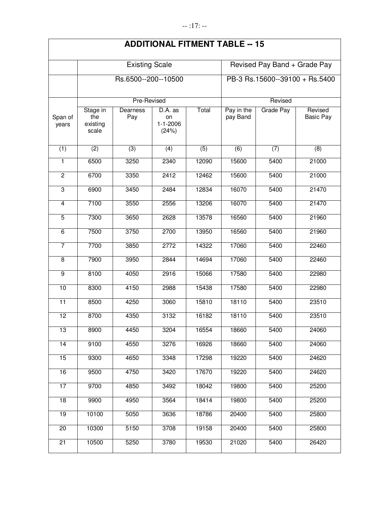| <b>ADDITIONAL FITMENT TABLE -- 15</b> |  |  |
|---------------------------------------|--|--|
|---------------------------------------|--|--|

|                         | <b>Existing Scale</b><br>Rs.6500--200--10500 |                 |                                          |                  | Revised Pay Band + Grade Pay<br>PB-3 Rs.15600--39100 + Rs.5400 |           |                             |  |
|-------------------------|----------------------------------------------|-----------------|------------------------------------------|------------------|----------------------------------------------------------------|-----------|-----------------------------|--|
|                         |                                              |                 |                                          |                  |                                                                |           |                             |  |
|                         |                                              | Pre-Revised     |                                          | Revised          |                                                                |           |                             |  |
| Span of<br>years        | Stage in<br>the<br>existing<br>scale         | Dearness<br>Pay | D.A. as<br>on<br>$1 - 1 - 2006$<br>(24%) | Total            | Pay in the<br>pay Band                                         | Grade Pay | Revised<br><b>Basic Pay</b> |  |
| (1)                     | $\overline{(2)}$                             | $\overline{3}$  | (4)                                      | $\overline{(5)}$ | $\overline{(6)}$                                               | (7)       | (8)                         |  |
| 1                       | 6500                                         | 3250            | 2340                                     | 12090            | 15600                                                          | 5400      | 21000                       |  |
| $\overline{2}$          | 6700                                         | 3350            | 2412                                     | 12462            | 15600                                                          | 5400      | 21000                       |  |
| 3                       | 6900                                         | 3450            | 2484                                     | 12834            | 16070                                                          | 5400      | 21470                       |  |
| $\overline{\mathbf{4}}$ | 7100                                         | 3550            | 2556                                     | 13206            | 16070                                                          | 5400      | 21470                       |  |
| $\overline{5}$          | 7300                                         | 3650            | 2628                                     | 13578            | 16560                                                          | 5400      | 21960                       |  |
| $\overline{6}$          | 7500                                         | 3750            | 2700                                     | 13950            | 16560                                                          | 5400      | 21960                       |  |
| $\overline{7}$          | 7700                                         | 3850            | 2772                                     | 14322            | 17060                                                          | 5400      | 22460                       |  |
| 8                       | 7900                                         | 3950            | 2844                                     | 14694            | 17060                                                          | 5400      | 22460                       |  |
| $\overline{9}$          | 8100                                         | 4050            | 2916                                     | 15066            | 17580                                                          | 5400      | 22980                       |  |
| 10                      | 8300                                         | 4150            | 2988                                     | 15438            | 17580                                                          | 5400      | 22980                       |  |
| $\overline{11}$         | 8500                                         | 4250            | 3060                                     | 15810            | 18110                                                          | 5400      | 23510                       |  |
| $\overline{12}$         | 8700                                         | 4350            | 3132                                     | 16182            | 18110                                                          | 5400      | 23510                       |  |
| $\overline{13}$         | 8900                                         | 4450            | 3204                                     | 16554            | 18660                                                          | 5400      | 24060                       |  |
| $\overline{14}$         | 9100                                         | 4550            | 3276                                     | 16926            | 18660                                                          | 5400      | 24060                       |  |
| 15                      | 9300                                         | 4650            | 3348                                     | 17298            | 19220                                                          | 5400      | 24620                       |  |
| 16                      | 9500                                         | 4750            | 3420                                     | 17670            | 19220                                                          | 5400      | 24620                       |  |
| 17                      | 9700                                         | 4850            | 3492                                     | 18042            | 19800                                                          | 5400      | 25200                       |  |
| 18                      | 9900                                         | 4950            | 3564                                     | 18414            | 19800                                                          | 5400      | 25200                       |  |
| 19                      | 10100                                        | 5050            | 3636                                     | 18786            | 20400                                                          | 5400      | 25800                       |  |
| 20                      | 10300                                        | 5150            | 3708                                     | 19158            | 20400                                                          | 5400      | 25800                       |  |
| 21                      | 10500                                        | 5250            | 3780                                     | 19530            | 21020                                                          | 5400      | 26420                       |  |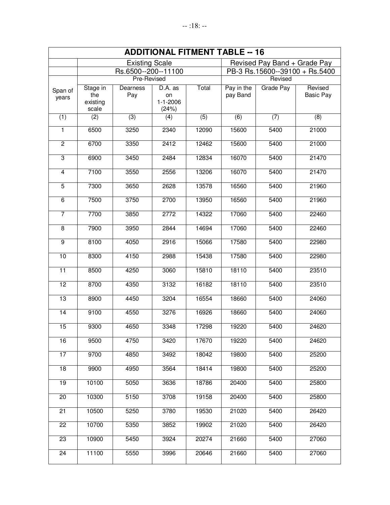| <b>ADDITIONAL FITMENT TABLE -- 16</b> |                                      |                 |                                          |         |                                |                  |                             |  |  |
|---------------------------------------|--------------------------------------|-----------------|------------------------------------------|---------|--------------------------------|------------------|-----------------------------|--|--|
|                                       | <b>Existing Scale</b>                |                 |                                          |         | Revised Pay Band + Grade Pay   |                  |                             |  |  |
|                                       | Rs.6500--200--11100                  |                 |                                          |         | PB-3 Rs.15600--39100 + Rs.5400 |                  |                             |  |  |
|                                       |                                      | Pre-Revised     |                                          | Revised |                                |                  |                             |  |  |
| Span of<br>years                      | Stage in<br>the<br>existing<br>scale | Dearness<br>Pay | D.A. as<br>on<br>$1 - 1 - 2006$<br>(24%) | Total   | Pay in the<br>pay Band         | <b>Grade Pay</b> | Revised<br><b>Basic Pay</b> |  |  |
| (1)                                   | (2)                                  | (3)             | $\overline{(4)}$                         | (5)     | (6)                            | (7)              | (8)                         |  |  |
| 1                                     | 6500                                 | 3250            | 2340                                     | 12090   | 15600                          | 5400             | 21000                       |  |  |
| $\overline{2}$                        | 6700                                 | 3350            | 2412                                     | 12462   | 15600                          | 5400             | 21000                       |  |  |
| 3                                     | 6900                                 | 3450            | 2484                                     | 12834   | 16070                          | 5400             | 21470                       |  |  |
| $\overline{4}$                        | 7100                                 | 3550            | 2556                                     | 13206   | 16070                          | 5400             | 21470                       |  |  |
| $\overline{5}$                        | 7300                                 | 3650            | 2628                                     | 13578   | 16560                          | 5400             | 21960                       |  |  |
| $\overline{6}$                        | 7500                                 | 3750            | 2700                                     | 13950   | 16560                          | 5400             | 21960                       |  |  |
| 7                                     | 7700                                 | 3850            | 2772                                     | 14322   | 17060                          | 5400             | 22460                       |  |  |
| $\overline{8}$                        | 7900                                 | 3950            | 2844                                     | 14694   | 17060                          | 5400             | 22460                       |  |  |
| $\overline{9}$                        | 8100                                 | 4050            | 2916                                     | 15066   | 17580                          | 5400             | 22980                       |  |  |
| 10                                    | 8300                                 | 4150            | 2988                                     | 15438   | 17580                          | 5400             | 22980                       |  |  |
| $\overline{11}$                       | 8500                                 | 4250            | 3060                                     | 15810   | 18110                          | 5400             | 23510                       |  |  |
| $\overline{12}$                       | 8700                                 | 4350            | 3132                                     | 16182   | 18110                          | 5400             | 23510                       |  |  |
| 13                                    | 8900                                 | 4450            | 3204                                     | 16554   | 18660                          | 5400             | 24060                       |  |  |
| $\overline{14}$                       | 9100                                 | 4550            | 3276                                     | 16926   | 18660                          | 5400             | 24060                       |  |  |
| 15                                    | 9300                                 | 4650            | 3348                                     | 17298   | 19220                          | 5400             | 24620                       |  |  |
| 16                                    | 9500                                 | 4750            | 3420                                     | 17670   | 19220                          | 5400             | 24620                       |  |  |
| 17                                    | 9700                                 | 4850            | 3492                                     | 18042   | 19800                          | 5400             | 25200                       |  |  |
| $\overline{18}$                       | 9900                                 | 4950            | 3564                                     | 18414   | 19800                          | 5400             | 25200                       |  |  |
| 19                                    | 10100                                | 5050            | 3636                                     | 18786   | 20400                          | 5400             | 25800                       |  |  |
| $\overline{20}$                       | 10300                                | 5150            | 3708                                     | 19158   | 20400                          | 5400             | 25800                       |  |  |
| 21                                    | 10500                                | 5250            | 3780                                     | 19530   | 21020                          | 5400             | 26420                       |  |  |
| 22                                    | 10700                                | 5350            | 3852                                     | 19902   | 21020                          | 5400             | 26420                       |  |  |
| $\overline{23}$                       | 10900                                | 5450            | 3924                                     | 20274   | 21660                          | 5400             | 27060                       |  |  |
| 24                                    | 11100                                | 5550            | 3996                                     | 20646   | 21660                          | 5400             | 27060                       |  |  |